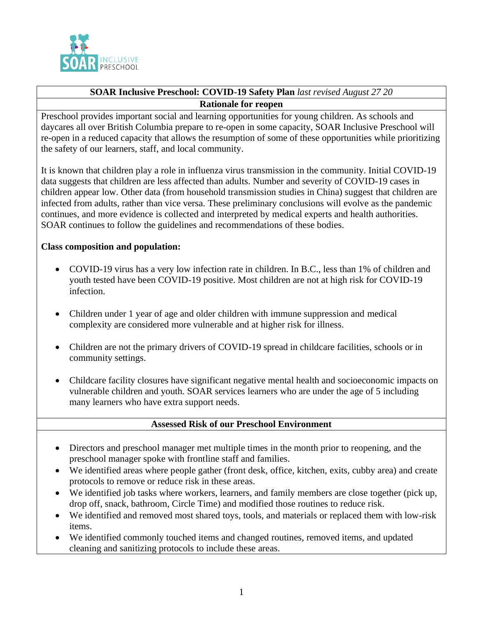

# **SOAR Inclusive Preschool: COVID-19 Safety Plan** *last revised August 27 20* **Rationale for reopen**

Preschool provides important social and learning opportunities for young children. As schools and daycares all over British Columbia prepare to re-open in some capacity, SOAR Inclusive Preschool will re-open in a reduced capacity that allows the resumption of some of these opportunities while prioritizing the safety of our learners, staff, and local community.

It is known that children play a role in influenza virus transmission in the community. Initial COVID-19 data suggests that children are less affected than adults. Number and severity of COVID-19 cases in children appear low. Other data (from household transmission studies in China) suggest that children are infected from adults, rather than vice versa. These preliminary conclusions will evolve as the pandemic continues, and more evidence is collected and interpreted by medical experts and health authorities. SOAR continues to follow the guidelines and recommendations of these bodies.

# **Class composition and population:**

- COVID-19 virus has a very low infection rate in children. In B.C., less than 1% of children and youth tested have been COVID-19 positive. Most children are not at high risk for COVID-19 infection.
- Children under 1 year of age and older children with immune suppression and medical complexity are considered more vulnerable and at higher risk for illness.
- Children are not the primary drivers of COVID-19 spread in childcare facilities, schools or in community settings.
- Childcare facility closures have significant negative mental health and socioeconomic impacts on vulnerable children and youth. SOAR services learners who are under the age of 5 including many learners who have extra support needs.

#### **Assessed Risk of our Preschool Environment**

- Directors and preschool manager met multiple times in the month prior to reopening, and the preschool manager spoke with frontline staff and families.
- We identified areas where people gather (front desk, office, kitchen, exits, cubby area) and create protocols to remove or reduce risk in these areas.
- We identified job tasks where workers, learners, and family members are close together (pick up, drop off, snack, bathroom, Circle Time) and modified those routines to reduce risk.
- We identified and removed most shared toys, tools, and materials or replaced them with low-risk items.
- We identified commonly touched items and changed routines, removed items, and updated cleaning and sanitizing protocols to include these areas.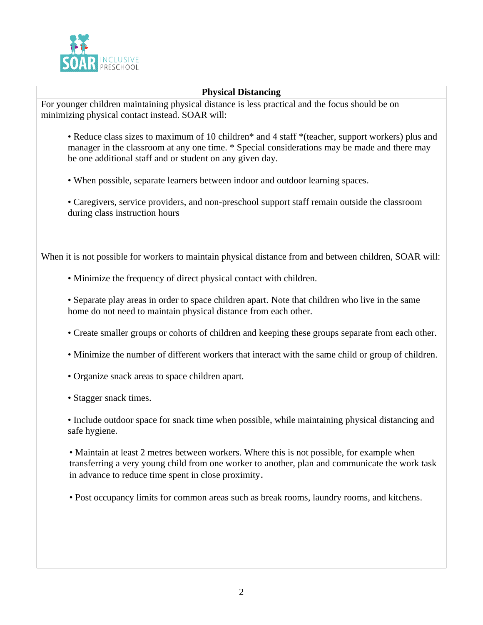

#### **Physical Distancing**

For younger children maintaining physical distance is less practical and the focus should be on minimizing physical contact instead. SOAR will:

- Reduce class sizes to maximum of 10 children\* and 4 staff \*(teacher, support workers) plus and manager in the classroom at any one time. \* Special considerations may be made and there may be one additional staff and or student on any given day.
- When possible, separate learners between indoor and outdoor learning spaces.
- Caregivers, service providers, and non-preschool support staff remain outside the classroom during class instruction hours

When it is not possible for workers to maintain physical distance from and between children, SOAR will:

- Minimize the frequency of direct physical contact with children.
- Separate play areas in order to space children apart. Note that children who live in the same home do not need to maintain physical distance from each other.
- Create smaller groups or cohorts of children and keeping these groups separate from each other.
- Minimize the number of different workers that interact with the same child or group of children.
- Organize snack areas to space children apart.
- Stagger snack times.

• Include outdoor space for snack time when possible, while maintaining physical distancing and safe hygiene.

• Maintain at least 2 metres between workers. Where this is not possible, for example when transferring a very young child from one worker to another, plan and communicate the work task in advance to reduce time spent in close proximity.

• Post occupancy limits for common areas such as break rooms, laundry rooms, and kitchens.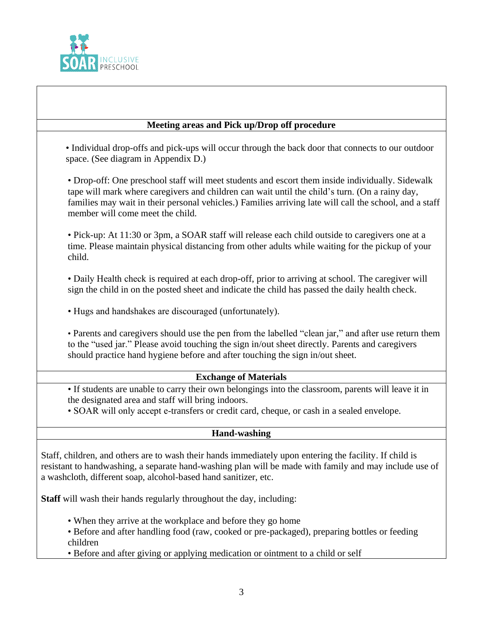

### **Meeting areas and Pick up/Drop off procedure**

• Individual drop-offs and pick-ups will occur through the back door that connects to our outdoor space. (See diagram in Appendix D.)

• Drop-off: One preschool staff will meet students and escort them inside individually. Sidewalk tape will mark where caregivers and children can wait until the child's turn. (On a rainy day, families may wait in their personal vehicles.) Families arriving late will call the school, and a staff member will come meet the child.

• Pick-up: At 11:30 or 3pm, a SOAR staff will release each child outside to caregivers one at a time. Please maintain physical distancing from other adults while waiting for the pickup of your child.

• Daily Health check is required at each drop-off, prior to arriving at school. The caregiver will sign the child in on the posted sheet and indicate the child has passed the daily health check.

• Hugs and handshakes are discouraged (unfortunately).

• Parents and caregivers should use the pen from the labelled "clean jar," and after use return them to the "used jar." Please avoid touching the sign in/out sheet directly. Parents and caregivers should practice hand hygiene before and after touching the sign in/out sheet.

#### **Exchange of Materials**

• If students are unable to carry their own belongings into the classroom, parents will leave it in the designated area and staff will bring indoors.

• SOAR will only accept e-transfers or credit card, cheque, or cash in a sealed envelope.

#### **Hand-washing**

• Staff, children, and others are to wash their hands immediately upon entering the facility. If child is resistant to handwashing, a separate hand-washing plan will be made with family and may include use of a washcloth, different soap, alcohol-based hand sanitizer, etc.

**Staff** will wash their hands regularly throughout the day, including:

- When they arrive at the workplace and before they go home
- Before and after handling food (raw, cooked or pre-packaged), preparing bottles or feeding children

• Before and after giving or applying medication or ointment to a child or self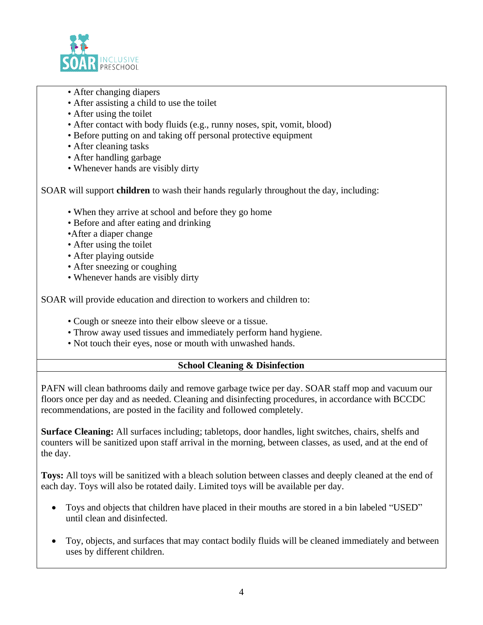

- After changing diapers
- After assisting a child to use the toilet
- After using the toilet
- After contact with body fluids (e.g., runny noses, spit, vomit, blood)
- Before putting on and taking off personal protective equipment
- After cleaning tasks
- After handling garbage
- Whenever hands are visibly dirty

• SOAR will support **children** to wash their hands regularly throughout the day, including:

- When they arrive at school and before they go home
- Before and after eating and drinking
- •After a diaper change
- After using the toilet
- After playing outside
- After sneezing or coughing
- Whenever hands are visibly dirty

SOAR will provide education and direction to workers and children to:

- Cough or sneeze into their elbow sleeve or a tissue.
- Throw away used tissues and immediately perform hand hygiene.
- Not touch their eyes, nose or mouth with unwashed hands.

# **School Cleaning & Disinfection**

PAFN will clean bathrooms daily and remove garbage twice per day. SOAR staff mop and vacuum our floors once per day and as needed. Cleaning and disinfecting procedures, in accordance with BCCDC recommendations, are posted in the facility and followed completely.

**Surface Cleaning:** All surfaces including; tabletops, door handles, light switches, chairs, shelfs and counters will be sanitized upon staff arrival in the morning, between classes, as used, and at the end of the day.

**Toys:** All toys will be sanitized with a bleach solution between classes and deeply cleaned at the end of each day. Toys will also be rotated daily. Limited toys will be available per day.

- Toys and objects that children have placed in their mouths are stored in a bin labeled "USED" until clean and disinfected.
- Toy, objects, and surfaces that may contact bodily fluids will be cleaned immediately and between uses by different children.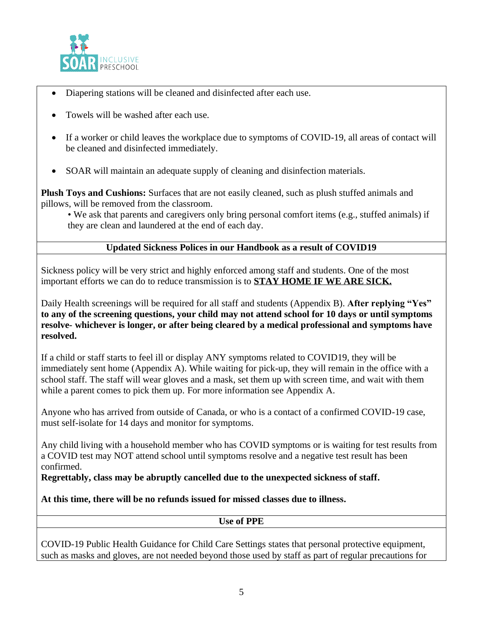

- Diapering stations will be cleaned and disinfected after each use.
- Towels will be washed after each use.
- If a worker or child leaves the workplace due to symptoms of COVID-19, all areas of contact will be cleaned and disinfected immediately.
- SOAR will maintain an adequate supply of cleaning and disinfection materials.

**Plush Toys and Cushions:** Surfaces that are not easily cleaned, such as plush stuffed animals and pillows, will be removed from the classroom.

• We ask that parents and caregivers only bring personal comfort items (e.g., stuffed animals) if they are clean and laundered at the end of each day.

# **Updated Sickness Polices in our Handbook as a result of COVID19**

Sickness policy will be very strict and highly enforced among staff and students. One of the most important efforts we can do to reduce transmission is to **STAY HOME IF WE ARE SICK.**

Daily Health screenings will be required for all staff and students (Appendix B). **After replying "Yes" to any of the screening questions, your child may not attend school for 10 days or until symptoms resolve- whichever is longer, or after being cleared by a medical professional and symptoms have resolved.**

If a child or staff starts to feel ill or display ANY symptoms related to COVID19, they will be immediately sent home (Appendix A). While waiting for pick-up, they will remain in the office with a school staff. The staff will wear gloves and a mask, set them up with screen time, and wait with them while a parent comes to pick them up. For more information see Appendix A.

Anyone who has arrived from outside of Canada, or who is a contact of a confirmed COVID-19 case, must self-isolate for 14 days and monitor for symptoms.

Any child living with a household member who has COVID symptoms or is waiting for test results from a COVID test may NOT attend school until symptoms resolve and a negative test result has been confirmed.

**Regrettably, class may be abruptly cancelled due to the unexpected sickness of staff.**

# **At this time, there will be no refunds issued for missed classes due to illness.**

**Use of PPE**

COVID-19 Public Health Guidance for Child Care Settings states that personal protective equipment, such as masks and gloves, are not needed beyond those used by staff as part of regular precautions for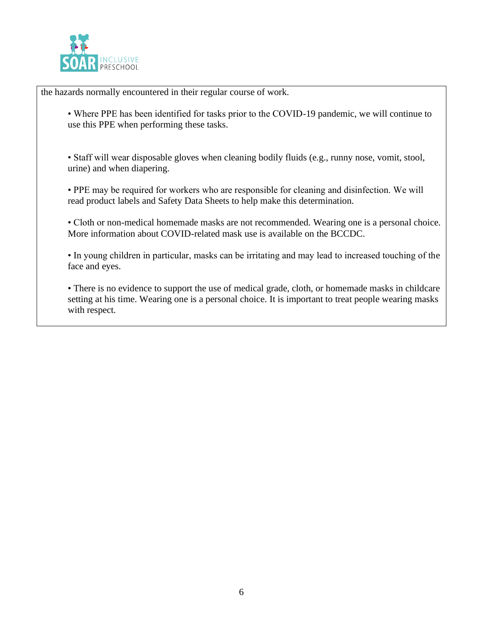

the hazards normally encountered in their regular course of work.

• Where PPE has been identified for tasks prior to the COVID-19 pandemic, we will continue to use this PPE when performing these tasks.

• Staff will wear disposable gloves when cleaning bodily fluids (e.g., runny nose, vomit, stool, urine) and when diapering.

• PPE may be required for workers who are responsible for cleaning and disinfection. We will read product labels and Safety Data Sheets to help make this determination.

• Cloth or non-medical homemade masks are not recommended. Wearing one is a personal choice. More information about COVID-related mask use is available on the BCCDC.

• In young children in particular, masks can be irritating and may lead to increased touching of the face and eyes.

• There is no evidence to support the use of medical grade, cloth, or homemade masks in childcare setting at his time. Wearing one is a personal choice. It is important to treat people wearing masks with respect.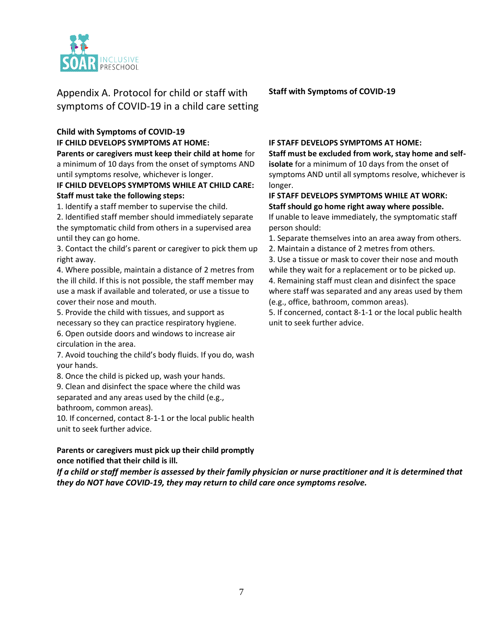

Appendix A. Protocol for child or staff with symptoms of COVID-19 in a child care setting

# **Child with Symptoms of COVID-19 IF CHILD DEVELOPS SYMPTOMS AT HOME:**

**Parents or caregivers must keep their child at home** for a minimum of 10 days from the onset of symptoms AND until symptoms resolve, whichever is longer.

#### **IF CHILD DEVELOPS SYMPTOMS WHILE AT CHILD CARE: Staff must take the following steps:**

1. Identify a staff member to supervise the child.

2. Identified staff member should immediately separate the symptomatic child from others in a supervised area until they can go home.

3. Contact the child's parent or caregiver to pick them up right away.

4. Where possible, maintain a distance of 2 metres from the ill child. If this is not possible, the staff member may use a mask if available and tolerated, or use a tissue to cover their nose and mouth.

5. Provide the child with tissues, and support as necessary so they can practice respiratory hygiene. 6. Open outside doors and windows to increase air circulation in the area.

7. Avoid touching the child's body fluids. If you do, wash your hands.

8. Once the child is picked up, wash your hands.

9. Clean and disinfect the space where the child was separated and any areas used by the child (e.g., bathroom, common areas).

10. If concerned, contact 8-1-1 or the local public health unit to seek further advice.

#### **Parents or caregivers must pick up their child promptly once notified that their child is ill.**

*If a child or staff member is assessed by their family physician or nurse practitioner and it is determined that they do NOT have COVID-19, they may return to child care once symptoms resolve.* 

**Staff with Symptoms of COVID-19** 

#### **IF STAFF DEVELOPS SYMPTOMS AT HOME:**

**Staff must be excluded from work, stay home and selfisolate** for a minimum of 10 days from the onset of symptoms AND until all symptoms resolve, whichever is longer.

**IF STAFF DEVELOPS SYMPTOMS WHILE AT WORK: Staff should go home right away where possible.**  If unable to leave immediately, the symptomatic staff person should:

1. Separate themselves into an area away from others.

2. Maintain a distance of 2 metres from others.

3. Use a tissue or mask to cover their nose and mouth while they wait for a replacement or to be picked up. 4. Remaining staff must clean and disinfect the space where staff was separated and any areas used by them (e.g., office, bathroom, common areas).

5. If concerned, contact 8-1-1 or the local public health unit to seek further advice.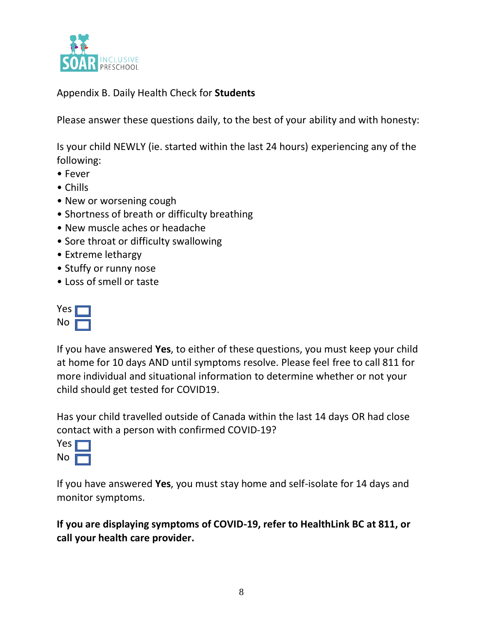

Appendix B. Daily Health Check for **Students**

Please answer these questions daily, to the best of your ability and with honesty:

Is your child NEWLY (ie. started within the last 24 hours) experiencing any of the following:

- Fever
- Chills
- New or worsening cough
- Shortness of breath or difficulty breathing
- New muscle aches or headache
- Sore throat or difficulty swallowing
- Extreme lethargy
- Stuffy or runny nose
- Loss of smell or taste

If you have answered **Yes**, to either of these questions, you must keep your child at home for 10 days AND until symptoms resolve. Please feel free to call 811 for more individual and situational information to determine whether or not your child should get tested for COVID19.

Has your child travelled outside of Canada within the last 14 days OR had close contact with a person with confirmed COVID-19?



If you have answered **Yes**, you must stay home and self-isolate for 14 days and monitor symptoms.

**If you are displaying symptoms of COVID-19, refer to HealthLink BC at 811, or call your health care provider.**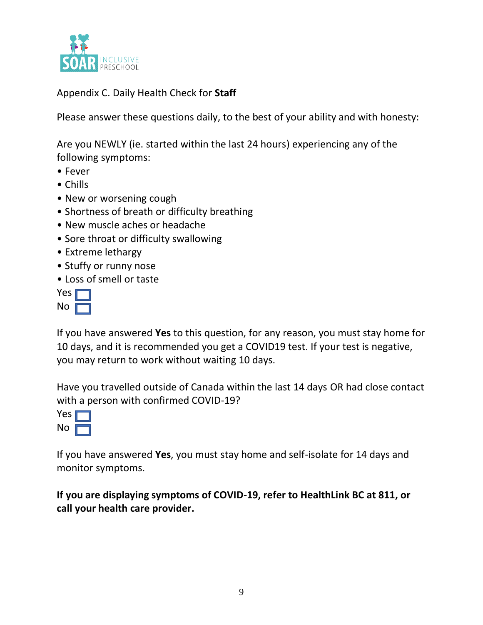

Appendix C. Daily Health Check for **Staff**

Please answer these questions daily, to the best of your ability and with honesty:

Are you NEWLY (ie. started within the last 24 hours) experiencing any of the following symptoms:

- Fever
- Chills
- New or worsening cough
- Shortness of breath or difficulty breathing
- New muscle aches or headache
- Sore throat or difficulty swallowing
- Extreme lethargy
- Stuffy or runny nose
- Loss of smell or taste

If you have answered **Yes** to this question, for any reason, you must stay home for 10 days, and it is recommended you get a COVID19 test. If your test is negative, you may return to work without waiting 10 days.

Have you travelled outside of Canada within the last 14 days OR had close contact with a person with confirmed COVID-19?

If you have answered **Yes**, you must stay home and self-isolate for 14 days and monitor symptoms.

**If you are displaying symptoms of COVID-19, refer to HealthLink BC at 811, or call your health care provider.**